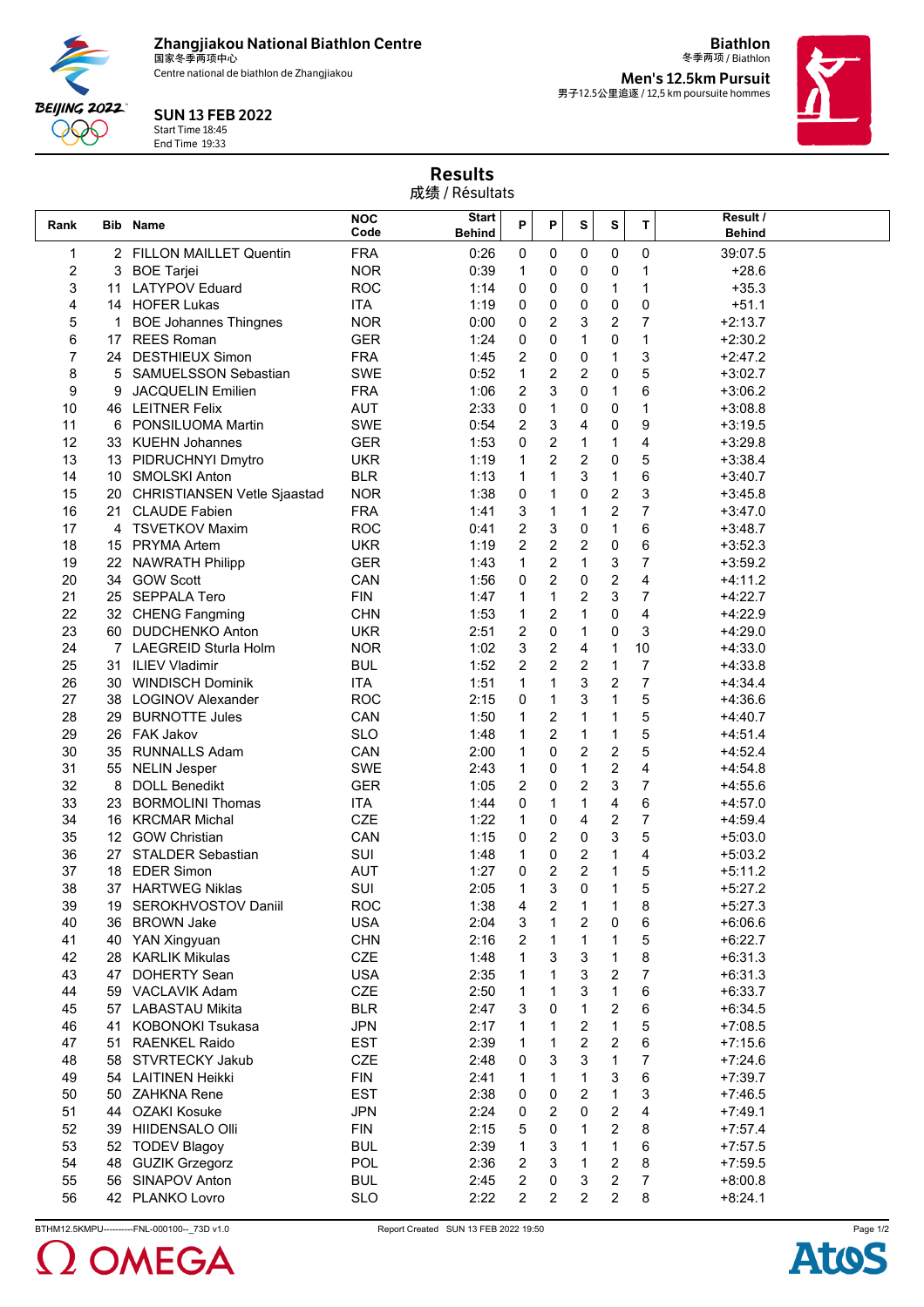**Zhangjiakou National Biathlon Centre** 国家冬季两项中心

Centre national de biathlon de Zhangjiakou



Start Time 18:45 End Time 19:33

**BEIJING 2022** 990

冬季两项 / Biathlon **Men's 12.5km Pursuit** 男子12.5公里追逐 / 12,5 km poursuite hommes

**Biathlon**



Results 成绩 / Résultats

|      |    |                                |                    | $1 - 2 - 1$            |   |                         |              |                |                |                           |
|------|----|--------------------------------|--------------------|------------------------|---|-------------------------|--------------|----------------|----------------|---------------------------|
| Rank |    | <b>Bib Name</b>                | <b>NOC</b><br>Code | Start<br><b>Behind</b> | P | P                       | S            | s              | T              | Result /<br><b>Behind</b> |
| 1    |    | 2 FILLON MAILLET Quentin       | <b>FRA</b>         | 0:26                   | 0 | 0                       | 0            | 0              | 0              | 39:07.5                   |
| 2    | 3  | <b>BOE Tarjei</b>              | <b>NOR</b>         | 0:39                   | 1 | 0                       | 0            | 0              | 1              | $+28.6$                   |
| 3    | 11 | <b>LATYPOV Eduard</b>          | <b>ROC</b>         | 1:14                   | 0 | 0                       | 0            | 1              | 1              | $+35.3$                   |
| 4    |    | 14 HOFER Lukas                 | <b>ITA</b>         | 1:19                   | 0 | 0                       | 0            | 0              | 0              | $+51.1$                   |
| 5    | 1  | <b>BOE Johannes Thingnes</b>   | <b>NOR</b>         | 0:00                   | 0 | 2                       | 3            | 2              | 7              | $+2:13.7$                 |
| 6    | 17 | <b>REES Roman</b>              | <b>GER</b>         | 1:24                   | 0 | 0                       | 1            | 0              | 1              | $+2:30.2$                 |
| 7    |    | 24 DESTHIEUX Simon             | <b>FRA</b>         | 1:45                   | 2 | 0                       | 0            | 1              | 3              | $+2:47.2$                 |
| 8    | 5  | <b>SAMUELSSON Sebastian</b>    | <b>SWE</b>         | 0:52                   | 1 | $\overline{\mathbf{c}}$ | 2            | 0              | 5              | $+3:02.7$                 |
| 9    | 9  | <b>JACQUELIN Emilien</b>       | <b>FRA</b>         | 1:06                   | 2 | 3                       | 0            | 1              | 6              | $+3:06.2$                 |
| 10   |    | 46 LEITNER Felix               | <b>AUT</b>         | 2:33                   | 0 | 1                       | 0            | 0              | 1              | $+3:08.8$                 |
| 11   | 6  | <b>PONSILUOMA Martin</b>       | <b>SWE</b>         | 0:54                   | 2 | 3                       | 4            | 0              | 9              | $+3:19.5$                 |
| 12   |    | 33 KUEHN Johannes              | <b>GER</b>         | 1:53                   | 0 | $\overline{c}$          | 1            | 1              | 4              | $+3:29.8$                 |
| 13   |    | 13 PIDRUCHNYI Dmytro           | <b>UKR</b>         | 1:19                   | 1 | 2                       | 2            | 0              | 5              | $+3:38.4$                 |
| 14   |    | 10 SMOLSKI Anton               | <b>BLR</b>         | 1:13                   | 1 | 1                       | 3            | 1              | 6              | $+3:40.7$                 |
| 15   |    | 20 CHRISTIANSEN Vetle Sjaastad | <b>NOR</b>         | 1:38                   | 0 | 1                       | 0            | 2              | 3              | $+3:45.8$                 |
| 16   | 21 | <b>CLAUDE Fabien</b>           | <b>FRA</b>         | 1:41                   | 3 | 1                       | 1            | 2              | 7              | $+3:47.0$                 |
| 17   |    | 4 TSVETKOV Maxim               | <b>ROC</b>         | 0:41                   | 2 | 3                       | 0            | 1              | 6              | $+3:48.7$                 |
| 18   |    | 15 PRYMA Artem                 | <b>UKR</b>         | 1:19                   | 2 | 2                       | 2            | 0              | 6              | $+3:52.3$                 |
| 19   | 22 | <b>NAWRATH Philipp</b>         | <b>GER</b>         | 1:43                   | 1 | 2                       | 1            | 3              | 7              | $+3:59.2$                 |
| 20   |    | 34 GOW Scott                   | CAN                | 1:56                   | 0 | 2                       | 0            | $\overline{c}$ | 4              | $+4:11.2$                 |
| 21   |    | 25 SEPPALA Tero                | <b>FIN</b>         | 1:47                   | 1 | 1                       | 2            | 3              | 7              | $+4:22.7$                 |
| 22   |    | 32 CHENG Fangming              | <b>CHN</b>         | 1:53                   | 1 | 2                       | 1            | 0              | 4              | $+4:22.9$                 |
| 23   |    | 60 DUDCHENKO Anton             | <b>UKR</b>         | 2:51                   | 2 | 0                       | 1            | 0              | 3              | $+4:29.0$                 |
| 24   |    | 7 LAEGREID Sturla Holm         | <b>NOR</b>         | 1:02                   | 3 | 2                       | 4            | 1              | 10             | $+4:33.0$                 |
| 25   | 31 | <b>ILIEV Vladimir</b>          | <b>BUL</b>         | 1:52                   | 2 | $\overline{c}$          | 2            | 1              | 7              | $+4:33.8$                 |
| 26   |    | 30 WINDISCH Dominik            | <b>ITA</b>         | 1:51                   | 1 | 1                       | 3            | 2              | $\overline{7}$ | $+4:34.4$                 |
| 27   |    | 38 LOGINOV Alexander           | <b>ROC</b>         | 2:15                   | 0 | 1                       | 3            | 1              | 5              | $+4:36.6$                 |
| 28   | 29 | <b>BURNOTTE Jules</b>          | CAN                | 1:50                   | 1 | $\overline{\mathbf{c}}$ | 1            | 1              | 5              | $+4:40.7$                 |
| 29   |    | 26 FAK Jakov                   | <b>SLO</b>         | 1:48                   | 1 | 2                       | 1            | 1              | 5              | $+4.51.4$                 |
| 30   | 35 | <b>RUNNALLS Adam</b>           | CAN                | 2:00                   | 1 | 0                       | 2            | 2              | 5              | $+4.52.4$                 |
| 31   | 55 | <b>NELIN Jesper</b>            | <b>SWE</b>         | 2:43                   | 1 | 0                       | 1            | 2              | 4              | $+4:54.8$                 |
| 32   | 8  | <b>DOLL Benedikt</b>           | <b>GER</b>         | 1:05                   | 2 | 0                       | 2            | 3              | 7              | $+4:55.6$                 |
| 33   | 23 | <b>BORMOLINI Thomas</b>        | <b>ITA</b>         | 1:44                   | 0 | 1                       | 1            | 4              | 6              | $+4:57.0$                 |
| 34   |    | 16 KRCMAR Michal               | CZE                | 1:22                   | 1 | 0                       | 4            | 2              | 7              | $+4:59.4$                 |
| 35   |    | 12 GOW Christian               | CAN                | 1:15                   | 0 | 2                       | 0            | 3              | 5              | $+5:03.0$                 |
| 36   | 27 | <b>STALDER Sebastian</b>       | SUI                | 1:48                   | 1 | 0                       | 2            | 1              | 4              | $+5:03.2$                 |
| 37   |    | 18 EDER Simon                  | <b>AUT</b>         | 1:27                   | 0 | 2                       | 2            | 1              | 5              | $+5:11.2$                 |
| 38   |    | 37 HARTWEG Niklas              | SUI                | 2:05                   |   | 3                       | 0            | 1              | 5              | $+5:27.2$                 |
| 39   |    | 19 SEROKHVOSTOV Daniil         | <b>ROC</b>         | 1:38                   | 4 | 2                       | 1            | 1              | 8              | $+5:27.3$                 |
| 40   |    | 36 BROWN Jake                  | <b>USA</b>         | 2:04                   | 3 | 1                       | 2            | 0              | 6              | $+6.06.6$                 |
| 41   |    | 40 YAN Xingyuan                | <b>CHN</b>         | 2:16                   | 2 | $\mathbf{1}$            | 1            | 1              | 5              | $+6:22.7$                 |
| 42   |    | 28 KARLIK Mikulas              | CZE                | 1:48                   | 1 | 3                       | 3            | 1              | 8              | $+6:31.3$                 |
| 43   | 47 | <b>DOHERTY Sean</b>            | <b>USA</b>         | 2:35                   | 1 | 1                       | 3            | 2              | 7              | $+6:31.3$                 |
| 44   |    | 59 VACLAVIK Adam               | CZE                | 2:50                   | 1 | 1                       | 3            | 1              | 6              | $+6:33.7$                 |
| 45   |    | 57 LABASTAU Mikita             | <b>BLR</b>         | 2:47                   | 3 | 0                       | 1            | 2              | 6              | $+6:34.5$                 |
| 46   |    | <b>KOBONOKI Tsukasa</b>        | <b>JPN</b>         |                        |   | 1                       |              | $\mathbf{1}$   | 5              |                           |
|      | 41 |                                | <b>EST</b>         | 2:17                   | 1 | 1                       | 2<br>2       | 2              | 6              | $+7:08.5$                 |
| 47   |    | 51 RAENKEL Raido               |                    | 2:39                   | 1 |                         |              |                |                | $+7:15.6$                 |
| 48   |    | 58 STVRTECKY Jakub             | CZE                | 2:48                   | 0 | 3                       | 3            | 1              | 7              | $+7:24.6$                 |
| 49   | 54 | <b>LAITINEN Heikki</b>         | <b>FIN</b>         | 2:41                   | 1 | 1                       | 1            | 3              | 6              | $+7:39.7$                 |
| 50   |    | 50 ZAHKNA Rene                 | <b>EST</b>         | 2:38                   | 0 | 0                       | 2            | 1              | 3              | $+7:46.5$                 |
| 51   | 44 | OZAKI Kosuke                   | <b>JPN</b>         | 2:24                   | 0 | 2                       | 0            | 2              | 4              | $+7:49.1$                 |
| 52   |    | 39 HIIDENSALO Olli             | <b>FIN</b>         | 2:15                   | 5 | 0                       | 1            | $\overline{c}$ | 8              | $+7:57.4$                 |
| 53   |    | 52 TODEV Blagoy                | <b>BUL</b>         | 2:39                   | 1 | 3                       | 1            | 1              | 6              | $+7:57.5$                 |
| 54   |    | 48 GUZIK Grzegorz              | <b>POL</b>         | 2:36                   | 2 | 3                       | $\mathbf{1}$ | 2              | 8              | $+7:59.5$                 |
| 55   |    | 56 SINAPOV Anton               | <b>BUL</b>         | 2:45                   | 2 | 0                       | 3            | 2              | 7              | $+8:00.8$                 |
| 56   |    | 42 PLANKO Lovro                | <b>SLO</b>         | 2:22                   | 2 | 2                       | 2            | 2              | 8              | $+8:24.1$                 |
|      |    |                                |                    |                        |   |                         |              |                |                |                           |

BTHM12.5KMPU----------FNL-000100--\_73D v1.0 Report Created SUN 13 FEB 2022 19:50